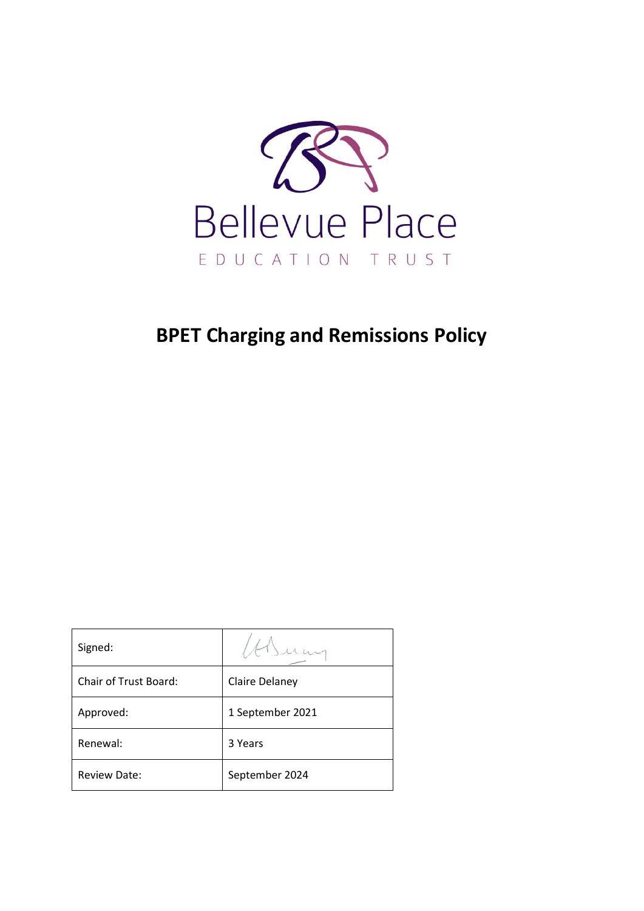

# **BPET Charging and Remissions Policy**

| Signed:                      |                  |
|------------------------------|------------------|
| <b>Chair of Trust Board:</b> | Claire Delaney   |
| Approved:                    | 1 September 2021 |
| Renewal:                     | 3 Years          |
| <b>Review Date:</b>          | September 2024   |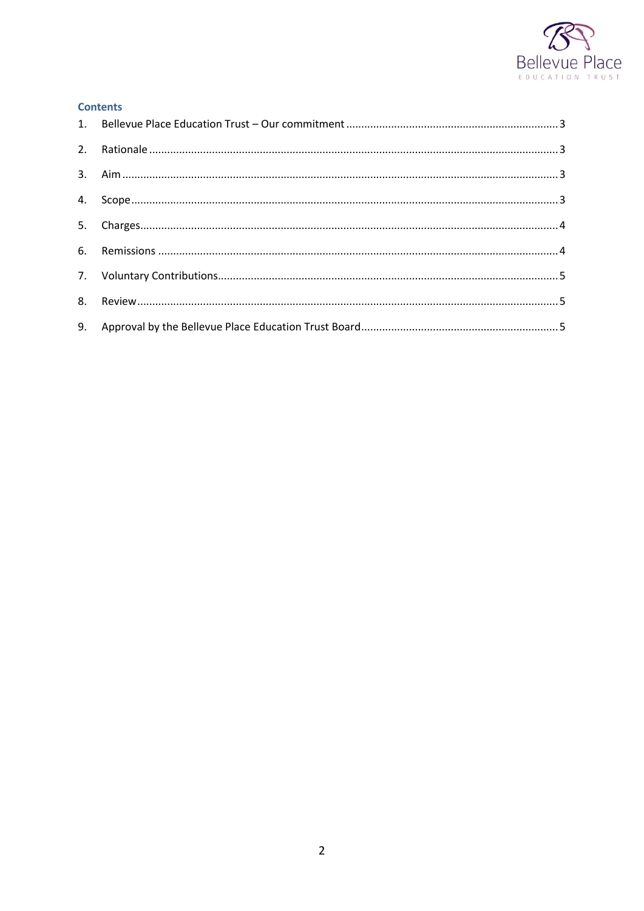

#### **Contents**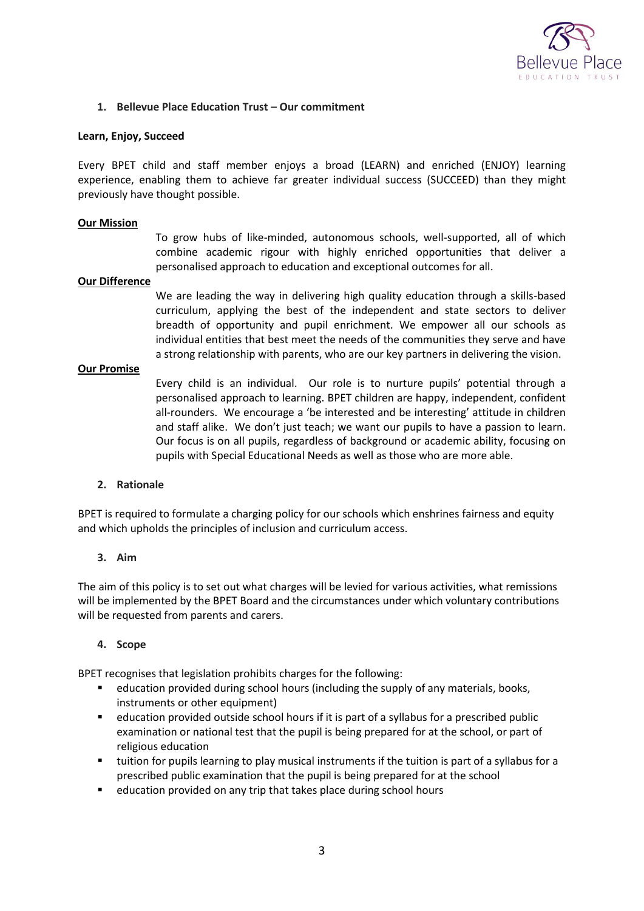

## <span id="page-2-0"></span>**1. Bellevue Place Education Trust – Our commitment**

#### **Learn, Enjoy, Succeed**

Every BPET child and staff member enjoys a broad (LEARN) and enriched (ENJOY) learning experience, enabling them to achieve far greater individual success (SUCCEED) than they might previously have thought possible.

#### **Our Mission**

To grow hubs of like-minded, autonomous schools, well-supported, all of which combine academic rigour with highly enriched opportunities that deliver a personalised approach to education and exceptional outcomes for all.

#### **Our Difference**

We are leading the way in delivering high quality education through a skills-based curriculum, applying the best of the independent and state sectors to deliver breadth of opportunity and pupil enrichment. We empower all our schools as individual entities that best meet the needs of the communities they serve and have a strong relationship with parents, who are our key partners in delivering the vision.

#### **Our Promise**

Every child is an individual. Our role is to nurture pupils' potential through a personalised approach to learning. BPET children are happy, independent, confident all-rounders. We encourage a 'be interested and be interesting' attitude in children and staff alike. We don't just teach; we want our pupils to have a passion to learn. Our focus is on all pupils, regardless of background or academic ability, focusing on pupils with Special Educational Needs as well as those who are more able.

## <span id="page-2-1"></span>**2. Rationale**

BPET is required to formulate a charging policy for our schools which enshrines fairness and equity and which upholds the principles of inclusion and curriculum access.

## <span id="page-2-2"></span>**3. Aim**

The aim of this policy is to set out what charges will be levied for various activities, what remissions will be implemented by the BPET Board and the circumstances under which voluntary contributions will be requested from parents and carers.

## <span id="page-2-3"></span>**4. Scope**

BPET recognises that legislation prohibits charges for the following:

- education provided during school hours (including the supply of any materials, books, instruments or other equipment)
- education provided outside school hours if it is part of a syllabus for a prescribed public examination or national test that the pupil is being prepared for at the school, or part of religious education
- tuition for pupils learning to play musical instruments if the tuition is part of a syllabus for a prescribed public examination that the pupil is being prepared for at the school
- **E** education provided on any trip that takes place during school hours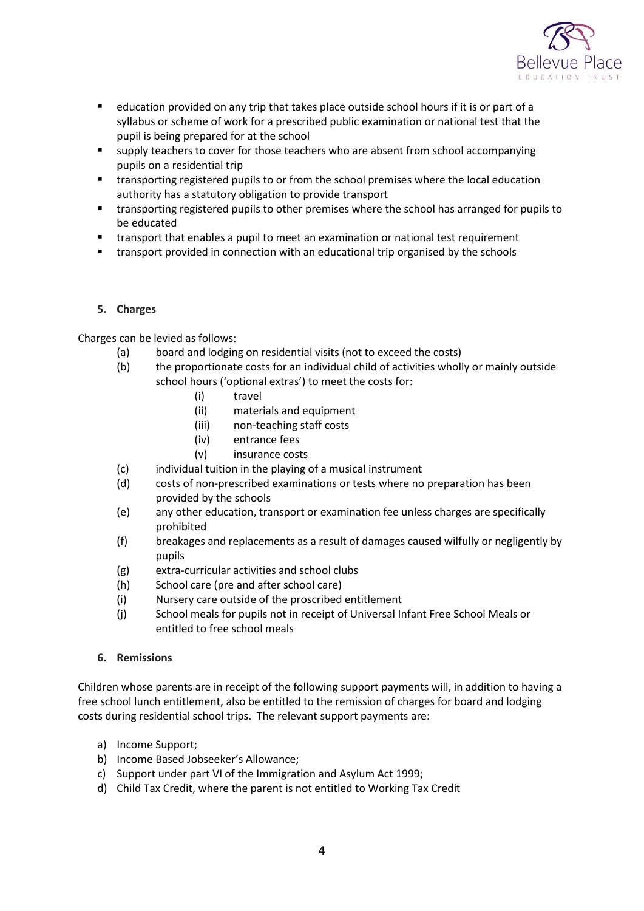

- education provided on any trip that takes place outside school hours if it is or part of a syllabus or scheme of work for a prescribed public examination or national test that the pupil is being prepared for at the school
- supply teachers to cover for those teachers who are absent from school accompanying pupils on a residential trip
- transporting registered pupils to or from the school premises where the local education authority has a statutory obligation to provide transport
- transporting registered pupils to other premises where the school has arranged for pupils to be educated
- transport that enables a pupil to meet an examination or national test requirement
- <span id="page-3-0"></span>transport provided in connection with an educational trip organised by the schools

# **5. Charges**

Charges can be levied as follows:

- (a) board and lodging on residential visits (not to exceed the costs)
- (b) the proportionate costs for an individual child of activities wholly or mainly outside school hours ('optional extras') to meet the costs for:
	- (i) travel
	- (ii) materials and equipment
	- (iii) non-teaching staff costs
	- (iv) entrance fees
	- (v) insurance costs
- (c) individual tuition in the playing of a musical instrument
- (d) costs of non-prescribed examinations or tests where no preparation has been provided by the schools
- (e) any other education, transport or examination fee unless charges are specifically prohibited
- (f) breakages and replacements as a result of damages caused wilfully or negligently by pupils
- (g) extra-curricular activities and school clubs
- (h) School care (pre and after school care)
- (i) Nursery care outside of the proscribed entitlement
- (j) School meals for pupils not in receipt of Universal Infant Free School Meals or entitled to free school meals

## <span id="page-3-1"></span>**6. Remissions**

Children whose parents are in receipt of the following support payments will, in addition to having a free school lunch entitlement, also be entitled to the remission of charges for board and lodging costs during residential school trips. The relevant support payments are:

- a) Income Support;
- b) Income Based Jobseeker's Allowance;
- c) Support under part VI of the Immigration and Asylum Act 1999;
- d) Child Tax Credit, where the parent is not entitled to Working Tax Credit